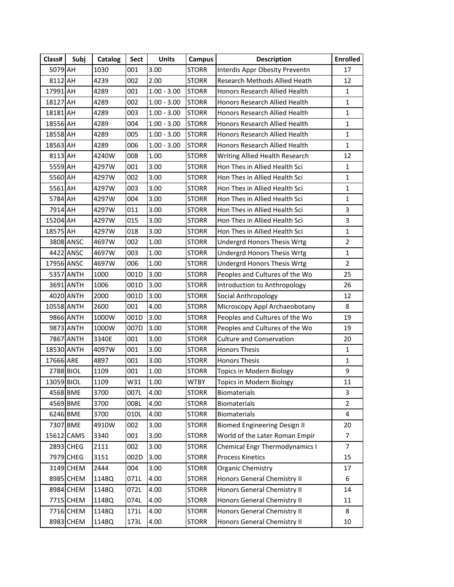| Class#     | Subj       | Catalog | Sect | <b>Units</b>  | <b>Campus</b> | <b>Description</b>                   | <b>Enrolled</b>         |
|------------|------------|---------|------|---------------|---------------|--------------------------------------|-------------------------|
| 5079 AH    |            | 1030    | 001  | 3.00          | <b>STORR</b>  | Interdis Appr Obesity Preventn       | 17                      |
| 8112 AH    |            | 4239    | 002  | 2.00          | <b>STORR</b>  | Research Methods Allied Heath        | 12                      |
| 17991 AH   |            | 4289    | 001  | $1.00 - 3.00$ | <b>STORR</b>  | Honors Research Allied Health        | $\mathbf{1}$            |
| 18127 AH   |            | 4289    | 002  | $1.00 - 3.00$ | <b>STORR</b>  | Honors Research Allied Health        | $\mathbf{1}$            |
| 18181 AH   |            | 4289    | 003  | $1.00 - 3.00$ | <b>STORR</b>  | Honors Research Allied Health        | $\mathbf{1}$            |
| 18556 AH   |            | 4289    | 004  | $1.00 - 3.00$ | <b>STORR</b>  | Honors Research Allied Health        | $\mathbf{1}$            |
| 18558 AH   |            | 4289    | 005  | $1.00 - 3.00$ | <b>STORR</b>  | Honors Research Allied Health        | $\mathbf{1}$            |
| 18563 AH   |            | 4289    | 006  | $1.00 - 3.00$ | <b>STORR</b>  | <b>Honors Research Allied Health</b> | $\mathbf{1}$            |
| 8113 AH    |            | 4240W   | 008  | 1.00          | <b>STORR</b>  | Writing Allied Health Research       | 12                      |
| 5559 AH    |            | 4297W   | 001  | 3.00          | <b>STORR</b>  | Hon Thes in Allied Health Sci        | $\mathbf{1}$            |
| 5560 AH    |            | 4297W   | 002  | 3.00          | <b>STORR</b>  | Hon Thes in Allied Health Sci        | $\mathbf{1}$            |
| 5561 AH    |            | 4297W   | 003  | 3.00          | <b>STORR</b>  | Hon Thes in Allied Health Sci        | $\mathbf{1}$            |
| 5784 AH    |            | 4297W   | 004  | 3.00          | <b>STORR</b>  | Hon Thes in Allied Health Sci        | $\mathbf{1}$            |
| 7914 AH    |            | 4297W   | 011  | 3.00          | <b>STORR</b>  | Hon Thes in Allied Health Sci        | 3                       |
| 15204 AH   |            | 4297W   | 015  | 3.00          | <b>STORR</b>  | Hon Thes in Allied Health Sci        | 3                       |
| 18575 AH   |            | 4297W   | 018  | 3.00          | <b>STORR</b>  | Hon Thes in Allied Health Sci        | $\mathbf{1}$            |
|            | 3808 ANSC  | 4697W   | 002  | 1.00          | <b>STORR</b>  | <b>Undergrd Honors Thesis Wrtg</b>   | $\overline{2}$          |
|            | 4422 ANSC  | 4697W   | 003  | 1.00          | <b>STORR</b>  | <b>Undergrd Honors Thesis Wrtg</b>   | $\mathbf{1}$            |
| 17956 ANSC |            | 4697W   | 006  | $1.00\,$      | <b>STORR</b>  | Undergrd Honors Thesis Wrtg          | $\overline{2}$          |
|            | 5357 ANTH  | 1000    | 001D | 3.00          | <b>STORR</b>  | Peoples and Cultures of the Wo       | 25                      |
|            | 3691 ANTH  | 1006    | 001D | 3.00          | <b>STORR</b>  | Introduction to Anthropology         | 26                      |
|            | 4020 ANTH  | 2000    | 001D | 3.00          | <b>STORR</b>  | Social Anthropology                  | 12                      |
| 10558 ANTH |            | 2600    | 001  | 4.00          | STORR         | Microscopy Appl Archaeobotany        | 8                       |
|            | 9866 ANTH  | 1000W   | 001D | 3.00          | <b>STORR</b>  | Peoples and Cultures of the Wo       | 19                      |
|            | 9873 ANTH  | 1000W   | 007D | 3.00          | <b>STORR</b>  | Peoples and Cultures of the Wo       | 19                      |
|            | 7867 ANTH  | 3340E   | 001  | 3.00          | <b>STORR</b>  | <b>Culture and Conservation</b>      | 20                      |
| 18530 ANTH |            | 4097W   | 001  | 3.00          | <b>STORR</b>  | <b>Honors Thesis</b>                 | $\mathbf{1}$            |
| 17666 ARE  |            | 4897    | 001  | 3.00          | <b>STORR</b>  | <b>Honors Thesis</b>                 | $\mathbf{1}$            |
|            | 2788 BIOL  | 1109    | 001  | 1.00          | <b>STORR</b>  | Topics in Modern Biology             | 9                       |
| 13059 BIOL |            | 1109    | W31  | 1.00          | <b>WTBY</b>   | Topics in Modern Biology             | 11                      |
|            | 4568 BME   | 3700    | 007L | 4.00          | <b>STORR</b>  | <b>Biomaterials</b>                  | 3                       |
|            | 4569 BME   | 3700    | 008L | 4.00          | <b>STORR</b>  | Biomaterials                         | $\overline{2}$          |
|            | 6246 BME   | 3700    | 010L | 4.00          | <b>STORR</b>  | <b>Biomaterials</b>                  | $\overline{\mathbf{4}}$ |
|            | 7307 BME   | 4910W   | 002  | 3.00          | <b>STORR</b>  | <b>Biomed Engineering Design II</b>  | 20                      |
|            | 15612 CAMS | 3340    | 001  | 3.00          | <b>STORR</b>  | World of the Later Roman Empir       | 7                       |
|            | 2893 CHEG  | 2111    | 002  | 3.00          | <b>STORR</b>  | Chemical Engr Thermodynamics I       | $\overline{7}$          |
|            | 7979 CHEG  | 3151    | 002D | 3.00          | <b>STORR</b>  | <b>Process Kinetics</b>              | 15                      |
|            | 3149 CHEM  | 2444    | 004  | 3.00          | <b>STORR</b>  | Organic Chemistry                    | 17                      |
|            | 8985 CHEM  | 1148Q   | 071L | 4.00          | <b>STORR</b>  | Honors General Chemistry II          | 6                       |
|            | 8984 CHEM  | 1148Q   | 072L | 4.00          | <b>STORR</b>  | Honors General Chemistry II          | 14                      |
|            | 7715 CHEM  | 1148Q   | 074L | 4.00          | <b>STORR</b>  | Honors General Chemistry II          | 11                      |
|            | 7716 CHEM  | 1148Q   | 171L | 4.00          | <b>STORR</b>  | Honors General Chemistry II          | 8                       |
|            | 8983 CHEM  | 1148Q   | 173L | 4.00          | <b>STORR</b>  | Honors General Chemistry II          | 10                      |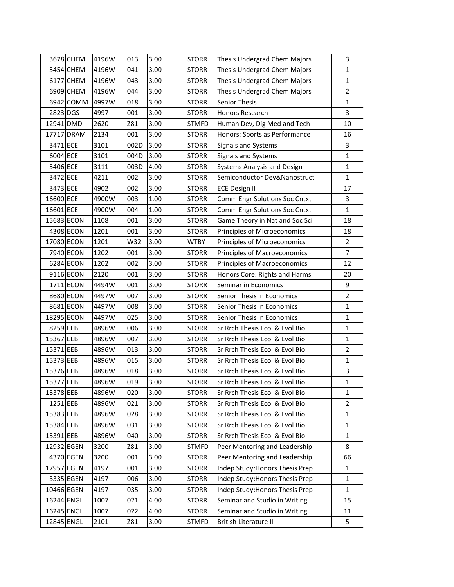|            | 3678 CHEM  | 4196W | 013  | 3.00 | <b>STORR</b> | Thesis Undergrad Chem Majors        | 3              |
|------------|------------|-------|------|------|--------------|-------------------------------------|----------------|
|            | 5454 CHEM  | 4196W | 041  | 3.00 | <b>STORR</b> | Thesis Undergrad Chem Majors        | $\mathbf{1}$   |
|            | 6177 CHEM  | 4196W | 043  | 3.00 | <b>STORR</b> | Thesis Undergrad Chem Majors        | $\mathbf{1}$   |
|            | 6909 CHEM  | 4196W | 044  | 3.00 | <b>STORR</b> | Thesis Undergrad Chem Majors        | $\overline{2}$ |
|            | 6942 COMM  | 4997W | 018  | 3.00 | <b>STORR</b> | <b>Senior Thesis</b>                | $\mathbf{1}$   |
| 2823 DGS   |            | 4997  | 001  | 3.00 | <b>STORR</b> | Honors Research                     | 3              |
| 12941 DMD  |            | 2620  | Z81  | 3.00 | <b>STMFD</b> | Human Dev, Dig Med and Tech         | 10             |
|            | 17717 DRAM | 2134  | 001  | 3.00 | <b>STORR</b> | Honors: Sports as Performance       | 16             |
| 3471 ECE   |            | 3101  | 002D | 3.00 | <b>STORR</b> | Signals and Systems                 | 3              |
| 6004 ECE   |            | 3101  | 004D | 3.00 | <b>STORR</b> | Signals and Systems                 | $\mathbf{1}$   |
| 5406 ECE   |            | 3111  | 003D | 4.00 | <b>STORR</b> | Systems Analysis and Design         | $\mathbf{1}$   |
| 3472 ECE   |            | 4211  | 002  | 3.00 | <b>STORR</b> | Semiconductor Dev&Nanostruct        | $\mathbf{1}$   |
| 3473 ECE   |            | 4902  | 002  | 3.00 | <b>STORR</b> | <b>ECE Design II</b>                | 17             |
| 16600 ECE  |            | 4900W | 003  | 1.00 | <b>STORR</b> | Comm Engr Solutions Soc Cntxt       | 3              |
| 16601 ECE  |            | 4900W | 004  | 1.00 | <b>STORR</b> | Comm Engr Solutions Soc Cntxt       | $\mathbf{1}$   |
| 15683 ECON |            | 1108  | 001  | 3.00 | <b>STORR</b> | Game Theory in Nat and Soc Sci      | 18             |
|            | 4308 ECON  | 1201  | 001  | 3.00 | <b>STORR</b> | Principles of Microeconomics        | 18             |
| 17080 ECON |            | 1201  | W32  | 3.00 | <b>WTBY</b>  | Principles of Microeconomics        | $\overline{2}$ |
|            | 7940 ECON  | 1202  | 001  | 3.00 | <b>STORR</b> | Principles of Macroeconomics        | $\overline{7}$ |
|            | 6284 ECON  | 1202  | 002  | 3.00 | <b>STORR</b> | <b>Principles of Macroeconomics</b> | 12             |
|            | 9116 ECON  | 2120  | 001  | 3.00 | <b>STORR</b> | Honors Core: Rights and Harms       | 20             |
|            | 1711 ECON  | 4494W | 001  | 3.00 | <b>STORR</b> | Seminar in Economics                | 9              |
|            | 8680 ECON  | 4497W | 007  | 3.00 | <b>STORR</b> | Senior Thesis in Economics          | $\overline{2}$ |
|            | 8681 ECON  | 4497W | 008  | 3.00 | <b>STORR</b> | Senior Thesis in Economics          | $\mathbf{1}$   |
| 18295 ECON |            | 4497W | 025  | 3.00 | <b>STORR</b> | Senior Thesis in Economics          | $\mathbf{1}$   |
| 8259 EEB   |            | 4896W | 006  | 3.00 | <b>STORR</b> | Sr Rrch Thesis Ecol & Evol Bio      | $\mathbf 1$    |
| 15367 EEB  |            | 4896W | 007  | 3.00 | <b>STORR</b> | Sr Rrch Thesis Ecol & Evol Bio      | $\mathbf{1}$   |
| 15371 EEB  |            | 4896W | 013  | 3.00 | <b>STORR</b> | Sr Rrch Thesis Ecol & Evol Bio      | $\overline{2}$ |
| 15373 EEB  |            | 4896W | 015  | 3.00 | <b>STORR</b> | Sr Rrch Thesis Ecol & Evol Bio      | $\mathbf{1}$   |
| 15376 EEB  |            | 4896W | 018  | 3.00 | <b>STORR</b> | Sr Rrch Thesis Ecol & Evol Bio      | 3              |
| 15377 EEB  |            | 4896W | 019  | 3.00 | <b>STORR</b> | Sr Rrch Thesis Ecol & Evol Bio      | $\mathbf{1}$   |
| 15378 EEB  |            | 4896W | 020  | 3.00 | <b>STORR</b> | Sr Rrch Thesis Ecol & Evol Bio      | 1              |
| 1251 EEB   |            | 4896W | 021  | 3.00 | <b>STORR</b> | Sr Rrch Thesis Ecol & Evol Bio      | $\overline{2}$ |
| 15383 EEB  |            | 4896W | 028  | 3.00 | <b>STORR</b> | Sr Rrch Thesis Ecol & Evol Bio      | 1              |
| 15384 EEB  |            | 4896W | 031  | 3.00 | <b>STORR</b> | Sr Rrch Thesis Ecol & Evol Bio      | 1              |
| 15391 EEB  |            | 4896W | 040  | 3.00 | <b>STORR</b> | Sr Rrch Thesis Ecol & Evol Bio      | 1              |
| 12932 EGEN |            | 3200  | Z81  | 3.00 | <b>STMFD</b> | Peer Mentoring and Leadership       | 8              |
|            | 4370 EGEN  | 3200  | 001  | 3.00 | <b>STORR</b> | Peer Mentoring and Leadership       | 66             |
| 17957 EGEN |            | 4197  | 001  | 3.00 | <b>STORR</b> | Indep Study: Honors Thesis Prep     | 1              |
|            | 3335 EGEN  | 4197  | 006  | 3.00 | <b>STORR</b> | Indep Study: Honors Thesis Prep     | $\mathbf 1$    |
| 10466 EGEN |            | 4197  | 035  | 3.00 | <b>STORR</b> | Indep Study: Honors Thesis Prep     | 1              |
| 16244 ENGL |            | 1007  | 021  | 4.00 | <b>STORR</b> | Seminar and Studio in Writing       | 15             |
| 16245 ENGL |            | 1007  | 022  | 4.00 | <b>STORR</b> | Seminar and Studio in Writing       | 11             |
| 12845 ENGL |            | 2101  | Z81  | 3.00 | <b>STMFD</b> | British Literature II               | 5              |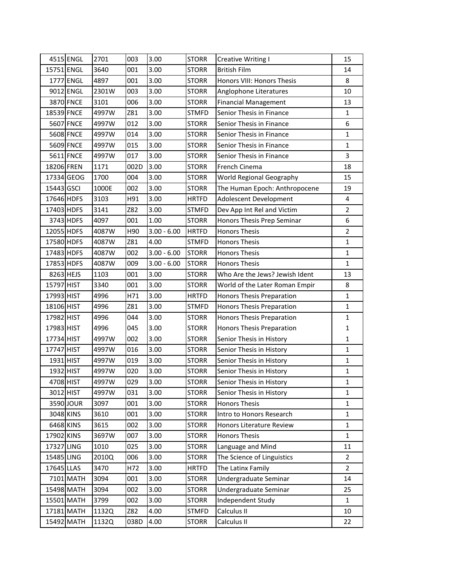|            | 4515 ENGL        | 2701  | 003             | 3.00          | <b>STORR</b> | Creative Writing I             | 15             |
|------------|------------------|-------|-----------------|---------------|--------------|--------------------------------|----------------|
| 15751 ENGL |                  | 3640  | 001             | 3.00          | <b>STORR</b> | <b>British Film</b>            | 14             |
|            | 1777 ENGL        | 4897  | 001             | 3.00          | <b>STORR</b> | Honors VIII: Honors Thesis     | 8              |
|            | 9012 ENGL        | 2301W | 003             | 3.00          | <b>STORR</b> | Anglophone Literatures         | 10             |
|            | 3870 FNCE        | 3101  | 006             | 3.00          | <b>STORR</b> | <b>Financial Management</b>    | 13             |
| 18539 FNCE |                  | 4997W | Z81             | 3.00          | <b>STMFD</b> | Senior Thesis in Finance       | $\mathbf{1}$   |
|            | <b>5607 FNCE</b> | 4997W | 012             | 3.00          | <b>STORR</b> | Senior Thesis in Finance       | 6              |
|            | <b>5608 FNCE</b> | 4997W | 014             | 3.00          | <b>STORR</b> | Senior Thesis in Finance       | $\mathbf{1}$   |
|            | 5609 FNCE        | 4997W | 015             | 3.00          | <b>STORR</b> | Senior Thesis in Finance       | $\mathbf{1}$   |
|            | 5611 FNCE        | 4997W | 017             | 3.00          | <b>STORR</b> | Senior Thesis in Finance       | 3              |
| 18206 FREN |                  | 1171  | 002D            | 3.00          | <b>STORR</b> | French Cinema                  | 18             |
|            | 17334 GEOG       | 1700  | 004             | 3.00          | <b>STORR</b> | World Regional Geography       | 15             |
| 15443 GSCI |                  | 1000E | 002             | 3.00          | <b>STORR</b> | The Human Epoch: Anthropocene  | 19             |
| 17646 HDFS |                  | 3103  | H91             | 3.00          | <b>HRTFD</b> | Adolescent Development         | 4              |
| 17403 HDFS |                  | 3141  | Z82             | 3.00          | <b>STMFD</b> | Dev App Int Rel and Victim     | $\overline{2}$ |
|            | 3743 HDFS        | 4097  | 001             | 1.00          | <b>STORR</b> | Honors Thesis Prep Seminar     | 6              |
| 12055 HDFS |                  | 4087W | H <sub>90</sub> | $3.00 - 6.00$ | <b>HRTFD</b> | <b>Honors Thesis</b>           | $\overline{2}$ |
| 17580 HDFS |                  | 4087W | Z81             | 4.00          | <b>STMFD</b> | <b>Honors Thesis</b>           | $\mathbf{1}$   |
| 17483 HDFS |                  | 4087W | 002             | $3.00 - 6.00$ | <b>STORR</b> | <b>Honors Thesis</b>           | $\mathbf{1}$   |
| 17853 HDFS |                  | 4087W | 009             | $3.00 - 6.00$ | <b>STORR</b> | <b>Honors Thesis</b>           | $\mathbf{1}$   |
| 8263 HEJS  |                  | 1103  | 001             | 3.00          | <b>STORR</b> | Who Are the Jews? Jewish Ident | 13             |
| 15797 HIST |                  | 3340  | 001             | 3.00          | <b>STORR</b> | World of the Later Roman Empir | 8              |
| 17993 HIST |                  | 4996  | H71             | 3.00          | <b>HRTFD</b> | Honors Thesis Preparation      | $\mathbf{1}$   |
| 18106 HIST |                  | 4996  | Z81             | 3.00          | <b>STMFD</b> | Honors Thesis Preparation      | $\mathbf{1}$   |
| 17982 HIST |                  | 4996  | 044             | 3.00          | <b>STORR</b> | Honors Thesis Preparation      | $\mathbf{1}$   |
| 17983 HIST |                  | 4996  | 045             | 3.00          | <b>STORR</b> | Honors Thesis Preparation      | $\mathbf{1}$   |
| 17734 HIST |                  | 4997W | 002             | 3.00          | <b>STORR</b> | Senior Thesis in History       | $\mathbf{1}$   |
| 17747 HIST |                  | 4997W | 016             | 3.00          | <b>STORR</b> | Senior Thesis in History       | $\mathbf{1}$   |
| 1931 HIST  |                  | 4997W | 019             | 3.00          | <b>STORR</b> | Senior Thesis in History       | $\mathbf{1}$   |
| 1932 HIST  |                  | 4997W | 020             | 3.00          | <b>STORR</b> | Senior Thesis in History       | $\mathbf{1}$   |
| 4708 HIST  |                  | 4997W | 029             | 3.00          | <b>STORR</b> | Senior Thesis in History       | $\mathbf 1$    |
|            | 3012 HIST        | 4997W | 031             | 3.00          | <b>STORR</b> | Senior Thesis in History       | $\mathbf{1}$   |
|            | 3590 JOUR        | 3097  | 001             | 3.00          | <b>STORR</b> | <b>Honors Thesis</b>           | $\mathbf 1$    |
|            | 3048 KINS        | 3610  | 001             | 3.00          | <b>STORR</b> | Intro to Honors Research       | $\mathbf{1}$   |
|            | 6468 KINS        | 3615  | 002             | 3.00          | <b>STORR</b> | Honors Literature Review       | $\mathbf{1}$   |
| 17902 KINS |                  | 3697W | 007             | 3.00          | <b>STORR</b> | <b>Honors Thesis</b>           | $\mathbf{1}$   |
| 17327 LING |                  | 1010  | 025             | 3.00          | <b>STORR</b> | Language and Mind              | 11             |
| 15485 LING |                  | 2010Q | 006             | 3.00          | <b>STORR</b> | The Science of Linguistics     | $\overline{2}$ |
| 17645 LLAS |                  | 3470  | H72             | 3.00          | <b>HRTFD</b> | The Latinx Family              | $\overline{2}$ |
|            | 7101 MATH        | 3094  | 001             | 3.00          | <b>STORR</b> | Undergraduate Seminar          | 14             |
|            | 15498 MATH       | 3094  | 002             | 3.00          | <b>STORR</b> | Undergraduate Seminar          | 25             |
|            | 15501 MATH       | 3799  | 002             | 3.00          | <b>STORR</b> | Independent Study              | $\mathbf{1}$   |
|            | 17181 MATH       | 1132Q | Z82             | 4.00          | <b>STMFD</b> | Calculus II                    | 10             |
|            | 15492 MATH       | 1132Q | 038D            | 4.00          | <b>STORR</b> | Calculus II                    | 22             |
|            |                  |       |                 |               |              |                                |                |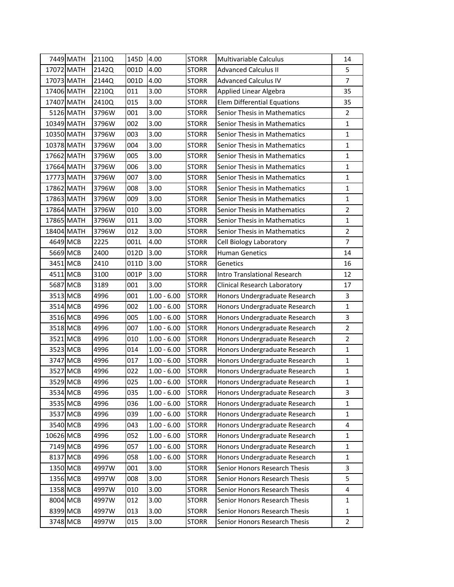|           | 7449 MATH  | 2110Q | 145D | 4.00          | <b>STORR</b> | <b>Multivariable Calculus</b>      | 14             |
|-----------|------------|-------|------|---------------|--------------|------------------------------------|----------------|
|           | 17072 MATH | 2142Q | 001D | 4.00          | <b>STORR</b> | <b>Advanced Calculus II</b>        | 5              |
|           | 17073 MATH | 2144Q | 001D | 4.00          | <b>STORR</b> | <b>Advanced Calculus IV</b>        | $\overline{7}$ |
|           | 17406 MATH | 2210Q | 011  | 3.00          | <b>STORR</b> | Applied Linear Algebra             | 35             |
|           | 17407 MATH | 2410Q | 015  | 3.00          | <b>STORR</b> | <b>Elem Differential Equations</b> | 35             |
|           | 5126 MATH  | 3796W | 001  | 3.00          | <b>STORR</b> | Senior Thesis in Mathematics       | $\overline{2}$ |
|           | 10349 MATH | 3796W | 002  | 3.00          | <b>STORR</b> | Senior Thesis in Mathematics       | $\mathbf 1$    |
|           | 10350 MATH | 3796W | 003  | 3.00          | <b>STORR</b> | Senior Thesis in Mathematics       | $\mathbf 1$    |
|           | 10378 MATH | 3796W | 004  | 3.00          | <b>STORR</b> | Senior Thesis in Mathematics       | $\mathbf{1}$   |
|           | 17662 MATH | 3796W | 005  | 3.00          | <b>STORR</b> | Senior Thesis in Mathematics       | $\mathbf{1}$   |
|           | 17664 MATH | 3796W | 006  | 3.00          | <b>STORR</b> | Senior Thesis in Mathematics       | $\mathbf{1}$   |
|           | 17773 MATH | 3796W | 007  | 3.00          | <b>STORR</b> | Senior Thesis in Mathematics       | $\mathbf{1}$   |
|           | 17862 MATH | 3796W | 008  | 3.00          | <b>STORR</b> | Senior Thesis in Mathematics       | $\mathbf{1}$   |
|           | 17863 MATH | 3796W | 009  | 3.00          | <b>STORR</b> | Senior Thesis in Mathematics       | $\mathbf 1$    |
|           | 17864 MATH | 3796W | 010  | 3.00          | <b>STORR</b> | Senior Thesis in Mathematics       | $\overline{2}$ |
|           | 17865 MATH | 3796W | 011  | 3.00          | <b>STORR</b> | Senior Thesis in Mathematics       | $\mathbf{1}$   |
|           | 18404 MATH | 3796W | 012  | 3.00          | <b>STORR</b> | Senior Thesis in Mathematics       | $\overline{2}$ |
|           | 4649 MCB   | 2225  | 001L | 4.00          | <b>STORR</b> | Cell Biology Laboratory            | $\overline{7}$ |
|           | 5669 MCB   | 2400  | 012D | 3.00          | <b>STORR</b> | <b>Human Genetics</b>              | 14             |
|           | 3451 MCB   | 2410  | 011D | 3.00          | <b>STORR</b> | Genetics                           | 16             |
|           | 4511 MCB   | 3100  | 001P | 3.00          | <b>STORR</b> | Intro Translational Research       | 12             |
|           | 5687 MCB   | 3189  | 001  | 3.00          | <b>STORR</b> | Clinical Research Laboratory       | 17             |
|           | 3513 MCB   | 4996  | 001  | $1.00 - 6.00$ | <b>STORR</b> | Honors Undergraduate Research      | 3              |
|           | 3514 MCB   | 4996  | 002  | $1.00 - 6.00$ | <b>STORR</b> | Honors Undergraduate Research      | $\mathbf{1}$   |
|           | 3516 MCB   | 4996  | 005  | $1.00 - 6.00$ | <b>STORR</b> | Honors Undergraduate Research      | 3              |
|           | 3518 MCB   | 4996  | 007  | $1.00 - 6.00$ | <b>STORR</b> | Honors Undergraduate Research      | $\overline{2}$ |
|           | 3521 MCB   | 4996  | 010  | $1.00 - 6.00$ | <b>STORR</b> | Honors Undergraduate Research      | $\overline{2}$ |
|           | 3523 MCB   | 4996  | 014  | $1.00 - 6.00$ | <b>STORR</b> | Honors Undergraduate Research      | $\mathbf{1}$   |
|           | 3747 MCB   | 4996  | 017  | $1.00 - 6.00$ | <b>STORR</b> | Honors Undergraduate Research      | $\mathbf 1$    |
|           | 3527 MCB   | 4996  | 022  | $1.00 - 6.00$ | <b>STORR</b> | Honors Undergraduate Research      | $\mathbf{1}$   |
| 3529 MCB  |            | 4996  | 025  | $1.00 - 6.00$ | <b>STORR</b> | Honors Undergraduate Research      | $\mathbf 1$    |
|           | 3534 MCB   | 4996  | 035  | $1.00 - 6.00$ | <b>STORR</b> | Honors Undergraduate Research      | 3              |
|           | 3535 MCB   | 4996  | 036  | $1.00 - 6.00$ | <b>STORR</b> | Honors Undergraduate Research      | $\mathbf 1$    |
|           | 3537 MCB   | 4996  | 039  | $1.00 - 6.00$ | <b>STORR</b> | Honors Undergraduate Research      | $\mathbf 1$    |
|           | 3540 MCB   | 4996  | 043  | $1.00 - 6.00$ | <b>STORR</b> | Honors Undergraduate Research      | 4              |
| 10626 MCB |            | 4996  | 052  | $1.00 - 6.00$ | <b>STORR</b> | Honors Undergraduate Research      | 1              |
|           | 7149 MCB   | 4996  | 057  | $1.00 - 6.00$ | <b>STORR</b> | Honors Undergraduate Research      | $\mathbf{1}$   |
|           | 8137 MCB   | 4996  | 058  | $1.00 - 6.00$ | <b>STORR</b> | Honors Undergraduate Research      | $\mathbf{1}$   |
|           | 1350 MCB   | 4997W | 001  | 3.00          | <b>STORR</b> | Senior Honors Research Thesis      | 3              |
|           | 1356 MCB   | 4997W | 008  | 3.00          | <b>STORR</b> | Senior Honors Research Thesis      | 5              |
|           | 1358 MCB   | 4997W | 010  | 3.00          | <b>STORR</b> | Senior Honors Research Thesis      | 4              |
|           | 8004 MCB   | 4997W | 012  | 3.00          | <b>STORR</b> | Senior Honors Research Thesis      | 1              |
|           | 8399 MCB   | 4997W | 013  | 3.00          | <b>STORR</b> | Senior Honors Research Thesis      | 1              |
|           | 3748 MCB   | 4997W | 015  | 3.00          | <b>STORR</b> | Senior Honors Research Thesis      | $\overline{2}$ |
|           |            |       |      |               |              |                                    |                |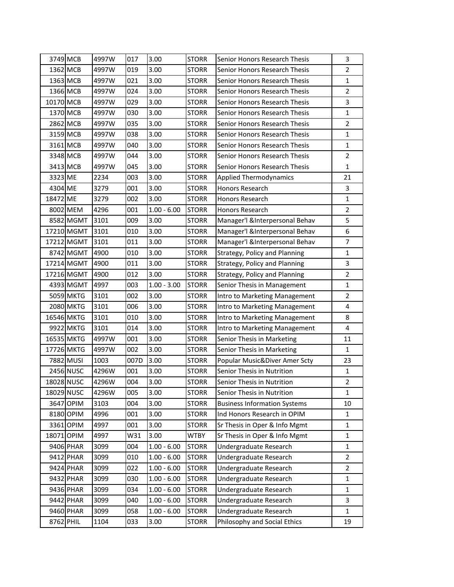|            | 3749 MCB         | 4997W | 017  | 3.00          | <b>STORR</b> | Senior Honors Research Thesis       | 3                       |
|------------|------------------|-------|------|---------------|--------------|-------------------------------------|-------------------------|
|            | 1362 MCB         | 4997W | 019  | 3.00          | <b>STORR</b> | Senior Honors Research Thesis       | $\overline{2}$          |
|            | 1363 MCB         | 4997W | 021  | 3.00          | <b>STORR</b> | Senior Honors Research Thesis       | $\mathbf{1}$            |
|            | 1366 MCB         | 4997W | 024  | 3.00          | <b>STORR</b> | Senior Honors Research Thesis       | $\overline{2}$          |
| 10170 MCB  |                  | 4997W | 029  | 3.00          | <b>STORR</b> | Senior Honors Research Thesis       | 3                       |
|            | 1370 MCB         | 4997W | 030  | 3.00          | <b>STORR</b> | Senior Honors Research Thesis       | $\mathbf{1}$            |
|            | 2862 MCB         | 4997W | 035  | 3.00          | <b>STORR</b> | Senior Honors Research Thesis       | $\overline{2}$          |
|            | 3159 MCB         | 4997W | 038  | 3.00          | <b>STORR</b> | Senior Honors Research Thesis       | $\mathbf{1}$            |
|            | 3161 MCB         | 4997W | 040  | 3.00          | <b>STORR</b> | Senior Honors Research Thesis       | $\mathbf{1}$            |
|            | 3348 MCB         | 4997W | 044  | 3.00          | <b>STORR</b> | Senior Honors Research Thesis       | $\overline{2}$          |
|            | 3413 MCB         | 4997W | 045  | 3.00          | <b>STORR</b> | Senior Honors Research Thesis       | $\mathbf{1}$            |
| 3323 ME    |                  | 2234  | 003  | 3.00          | <b>STORR</b> | <b>Applied Thermodynamics</b>       | 21                      |
| 4304 ME    |                  | 3279  | 001  | 3.00          | <b>STORR</b> | Honors Research                     | 3                       |
| 18472 ME   |                  | 3279  | 002  | 3.00          | <b>STORR</b> | <b>Honors Research</b>              | $\mathbf 1$             |
|            | 8002 MEM         | 4296  | 001  | $1.00 - 6.00$ | <b>STORR</b> | Honors Research                     | $\overline{2}$          |
|            | 8582 MGMT        | 3101  | 009  | 3.00          | <b>STORR</b> | Manager'l &Interpersonal Behav      | 5                       |
|            | 17210 MGMT       | 3101  | 010  | 3.00          | <b>STORR</b> | Manager'l &Interpersonal Behav      | 6                       |
|            | 17212 MGMT       | 3101  | 011  | 3.00          | <b>STORR</b> | Manager'l &Interpersonal Behav      | $\overline{7}$          |
|            | 8742 MGMT        | 4900  | 010  | 3.00          | <b>STORR</b> | Strategy, Policy and Planning       | $\mathbf{1}$            |
|            | 17214 MGMT       | 4900  | 011  | 3.00          | <b>STORR</b> | Strategy, Policy and Planning       | 3                       |
|            | 17216 MGMT       | 4900  | 012  | 3.00          | <b>STORR</b> | Strategy, Policy and Planning       | $\overline{2}$          |
|            | 4393 MGMT        | 4997  | 003  | $1.00 - 3.00$ | <b>STORR</b> | Senior Thesis in Management         | $\mathbf{1}$            |
|            | <b>5059 MKTG</b> | 3101  | 002  | 3.00          | <b>STORR</b> | Intro to Marketing Management       | $\overline{2}$          |
|            | <b>2080 MKTG</b> | 3101  | 006  | 3.00          | <b>STORR</b> | Intro to Marketing Management       | 4                       |
|            | 16546 MKTG       | 3101  | 010  | 3.00          | <b>STORR</b> | Intro to Marketing Management       | 8                       |
|            | 9922 MKTG        | 3101  | 014  | 3.00          | <b>STORR</b> | Intro to Marketing Management       | $\overline{\mathbf{4}}$ |
|            | 16535 MKTG       | 4997W | 001  | 3.00          | <b>STORR</b> | Senior Thesis in Marketing          | 11                      |
|            | 17726 MKTG       | 4997W | 002  | 3.00          | <b>STORR</b> | Senior Thesis in Marketing          | $\mathbf{1}$            |
|            | 7882 MUSI        | 1003  | 007D | 3.00          | <b>STORR</b> | Popular Music&Diver Amer Scty       | 23                      |
|            | <b>2456 NUSC</b> | 4296W | 001  | 3.00          | <b>STORR</b> | Senior Thesis in Nutrition          | $\mathbf{1}$            |
| 18028 NUSC |                  | 4296W | 004  | 3.00          | <b>STORR</b> | Senior Thesis in Nutrition          | $\mathbf 2$             |
|            | 18029 NUSC       | 4296W | 005  | 3.00          | <b>STORR</b> | Senior Thesis in Nutrition          | $\mathbf{1}$            |
|            | 3647 OPIM        | 3103  | 004  | 3.00          | <b>STORR</b> | <b>Business Information Systems</b> | 10                      |
|            | 8180 OPIM        | 4996  | 001  | 3.00          | <b>STORR</b> | Ind Honors Research in OPIM         | $\mathbf 1$             |
|            | 3361 OPIM        | 4997  | 001  | 3.00          | <b>STORR</b> | Sr Thesis in Oper & Info Mgmt       | $\mathbf{1}$            |
|            | 18071 OPIM       | 4997  | W31  | 3.00          | <b>WTBY</b>  | Sr Thesis in Oper & Info Mgmt       | $\mathbf{1}$            |
|            | 9406 PHAR        | 3099  | 004  | $1.00 - 6.00$ | <b>STORR</b> | Undergraduate Research              | $\mathbf{1}$            |
|            | 9412 PHAR        | 3099  | 010  | $1.00 - 6.00$ | <b>STORR</b> | Undergraduate Research              | $\mathbf 2$             |
|            | 9424 PHAR        | 3099  | 022  | $1.00 - 6.00$ | <b>STORR</b> | Undergraduate Research              | $\overline{2}$          |
|            | 9432 PHAR        | 3099  | 030  | $1.00 - 6.00$ | <b>STORR</b> | Undergraduate Research              | $\mathbf 1$             |
|            | 9436 PHAR        | 3099  | 034  | $1.00 - 6.00$ | <b>STORR</b> | Undergraduate Research              | $\mathbf 1$             |
|            | 9442 PHAR        | 3099  | 040  | $1.00 - 6.00$ | <b>STORR</b> | Undergraduate Research              | 3                       |
|            | 9460 PHAR        | 3099  | 058  | $1.00 - 6.00$ | <b>STORR</b> | Undergraduate Research              | $\mathbf{1}$            |
| 8762 PHIL  |                  | 1104  | 033  | 3.00          | <b>STORR</b> | Philosophy and Social Ethics        | 19                      |
|            |                  |       |      |               |              |                                     |                         |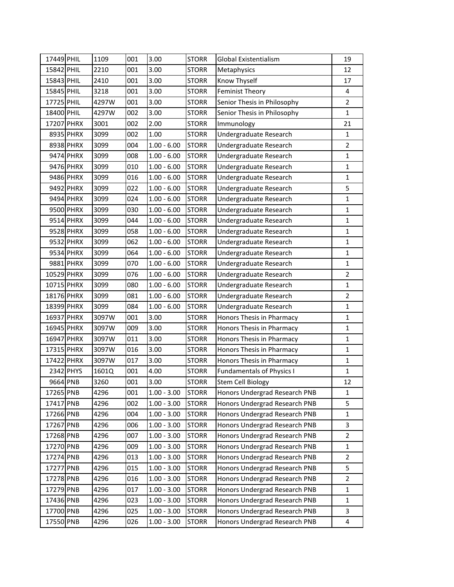| 17449 PHIL |           | 1109  | 001 | 3.00          | <b>STORR</b> | <b>Global Existentialism</b>     | 19             |
|------------|-----------|-------|-----|---------------|--------------|----------------------------------|----------------|
| 15842 PHIL |           | 2210  | 001 | 3.00          | <b>STORR</b> | Metaphysics                      | 12             |
| 15843 PHIL |           | 2410  | 001 | 3.00          | <b>STORR</b> | Know Thyself                     | 17             |
| 15845 PHIL |           | 3218  | 001 | 3.00          | <b>STORR</b> | <b>Feminist Theory</b>           | 4              |
| 17725 PHIL |           | 4297W | 001 | 3.00          | <b>STORR</b> | Senior Thesis in Philosophy      | $\mathbf 2$    |
| 18400 PHIL |           | 4297W | 002 | 3.00          | <b>STORR</b> | Senior Thesis in Philosophy      | $\mathbf 1$    |
| 17207 PHRX |           | 3001  | 002 | 2.00          | <b>STORR</b> | Immunology                       | 21             |
|            | 8935 PHRX | 3099  | 002 | 1.00          | <b>STORR</b> | Undergraduate Research           | $\mathbf 1$    |
|            | 8938 PHRX | 3099  | 004 | $1.00 - 6.00$ | <b>STORR</b> | Undergraduate Research           | $\overline{2}$ |
|            | 9474 PHRX | 3099  | 008 | $1.00 - 6.00$ | <b>STORR</b> | Undergraduate Research           | $\mathbf{1}$   |
|            | 9476 PHRX | 3099  | 010 | $1.00 - 6.00$ | <b>STORR</b> | Undergraduate Research           | $\mathbf 1$    |
|            | 9486 PHRX | 3099  | 016 | $1.00 - 6.00$ | <b>STORR</b> | Undergraduate Research           | $\mathbf 1$    |
|            | 9492 PHRX | 3099  | 022 | $1.00 - 6.00$ | <b>STORR</b> | Undergraduate Research           | 5              |
|            | 9494 PHRX | 3099  | 024 | $1.00 - 6.00$ | <b>STORR</b> | Undergraduate Research           | $\mathbf{1}$   |
|            | 9500 PHRX | 3099  | 030 | $1.00 - 6.00$ | <b>STORR</b> | Undergraduate Research           | $\mathbf{1}$   |
|            | 9514 PHRX | 3099  | 044 | $1.00 - 6.00$ | <b>STORR</b> | Undergraduate Research           | $\mathbf{1}$   |
|            | 9528 PHRX | 3099  | 058 | $1.00 - 6.00$ | <b>STORR</b> | Undergraduate Research           | $\mathbf 1$    |
|            | 9532 PHRX | 3099  | 062 | $1.00 - 6.00$ | <b>STORR</b> | Undergraduate Research           | $\mathbf{1}$   |
|            | 9534 PHRX | 3099  | 064 | $1.00 - 6.00$ | <b>STORR</b> | Undergraduate Research           | $\mathbf 1$    |
|            | 9881 PHRX | 3099  | 070 | $1.00 - 6.00$ | <b>STORR</b> | Undergraduate Research           | $\mathbf{1}$   |
| 10529 PHRX |           | 3099  | 076 | $1.00 - 6.00$ | <b>STORR</b> | Undergraduate Research           | $\overline{2}$ |
| 10715 PHRX |           | 3099  | 080 | $1.00 - 6.00$ | <b>STORR</b> | Undergraduate Research           | $\mathbf{1}$   |
| 18176 PHRX |           | 3099  | 081 | $1.00 - 6.00$ | <b>STORR</b> | Undergraduate Research           | $\overline{2}$ |
| 18399 PHRX |           | 3099  | 084 | $1.00 - 6.00$ | <b>STORR</b> | Undergraduate Research           | $\mathbf 1$    |
| 16937 PHRX |           | 3097W | 001 | 3.00          | <b>STORR</b> | Honors Thesis in Pharmacy        | $\mathbf{1}$   |
| 16945 PHRX |           | 3097W | 009 | 3.00          | <b>STORR</b> | Honors Thesis in Pharmacy        | $\mathbf{1}$   |
| 16947 PHRX |           | 3097W | 011 | 3.00          | <b>STORR</b> | Honors Thesis in Pharmacy        | $\mathbf{1}$   |
| 17315 PHRX |           | 3097W | 016 | 3.00          | <b>STORR</b> | Honors Thesis in Pharmacy        | $\mathbf{1}$   |
| 17422 PHRX |           | 3097W | 017 | 3.00          | <b>STORR</b> | Honors Thesis in Pharmacy        | $\mathbf 1$    |
|            | 2342 PHYS | 1601Q | 001 | 4.00          | <b>STORR</b> | <b>Fundamentals of Physics I</b> | $\mathbf 1$    |
| 9664 PNB   |           | 3260  | 001 | 3.00          | <b>STORR</b> | <b>Stem Cell Biology</b>         | 12             |
| 17265 PNB  |           | 4296  | 001 | $1.00 - 3.00$ | <b>STORR</b> | Honors Undergrad Research PNB    | $\mathbf{1}$   |
| 17417 PNB  |           | 4296  | 002 | $1.00 - 3.00$ | <b>STORR</b> | Honors Undergrad Research PNB    | 5              |
| 17266 PNB  |           | 4296  | 004 | $1.00 - 3.00$ | <b>STORR</b> | Honors Undergrad Research PNB    | $\mathbf 1$    |
| 17267 PNB  |           | 4296  | 006 | $1.00 - 3.00$ | <b>STORR</b> | Honors Undergrad Research PNB    | 3              |
| 17268 PNB  |           | 4296  | 007 | $1.00 - 3.00$ | <b>STORR</b> | Honors Undergrad Research PNB    | $\overline{2}$ |
| 17270 PNB  |           | 4296  | 009 | $1.00 - 3.00$ | <b>STORR</b> | Honors Undergrad Research PNB    | $\mathbf{1}$   |
| 17274 PNB  |           | 4296  | 013 | $1.00 - 3.00$ | <b>STORR</b> | Honors Undergrad Research PNB    | $\overline{2}$ |
| 17277 PNB  |           | 4296  | 015 | $1.00 - 3.00$ | <b>STORR</b> | Honors Undergrad Research PNB    | 5              |
| 17278 PNB  |           | 4296  | 016 | $1.00 - 3.00$ | <b>STORR</b> | Honors Undergrad Research PNB    | $\overline{2}$ |
| 17279 PNB  |           | 4296  | 017 | $1.00 - 3.00$ | <b>STORR</b> | Honors Undergrad Research PNB    | 1              |
| 17436 PNB  |           | 4296  | 023 | $1.00 - 3.00$ | <b>STORR</b> | Honors Undergrad Research PNB    | $\mathbf{1}$   |
| 17700 PNB  |           | 4296  | 025 | $1.00 - 3.00$ | <b>STORR</b> | Honors Undergrad Research PNB    | 3              |
| 17550 PNB  |           | 4296  | 026 | $1.00 - 3.00$ | <b>STORR</b> | Honors Undergrad Research PNB    | 4              |
|            |           |       |     |               |              |                                  |                |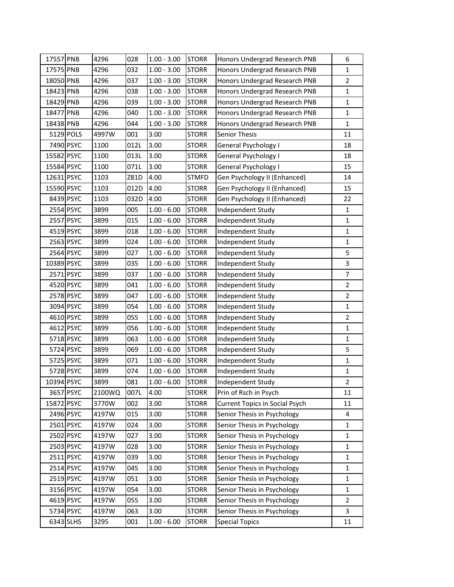| 17557 PNB<br>4296<br>028<br>$1.00 - 3.00$<br><b>STORR</b><br>6<br>Honors Undergrad Research PNB<br>$\mathbf 1$<br>17575 PNB<br>4296<br>$1.00 - 3.00$<br><b>STORR</b><br>032<br>Honors Undergrad Research PNB<br>18050 PNB<br>$\overline{2}$<br>4296<br>037<br>$1.00 - 3.00$<br><b>STORR</b><br>Honors Undergrad Research PNB<br>18423 PNB<br>$\mathbf 1$<br>4296<br>$1.00 - 3.00$<br><b>STORR</b><br>Honors Undergrad Research PNB<br>038<br>18429 PNB<br>039<br><b>STORR</b><br>$\mathbf{1}$<br>4296<br>$1.00 - 3.00$<br>Honors Undergrad Research PNB<br>18477 PNB<br>4296<br>$1.00 - 3.00$<br><b>STORR</b><br>$\mathbf{1}$<br>040<br>Honors Undergrad Research PNB<br>$\mathbf{1}$<br>18438 PNB<br>4296<br>044<br>$1.00 - 3.00$<br><b>STORR</b><br>Honors Undergrad Research PNB<br>5129 POLS<br>3.00<br>4997W<br>001<br><b>STORR</b><br><b>Senior Thesis</b><br>11<br>7490 PSYC<br>1100<br>3.00<br>012L<br><b>STORR</b><br>General Psychology I<br>18<br>15582 PSYC<br>3.00<br>1100<br>013L<br><b>STORR</b><br>General Psychology I<br>18<br>15584 PSYC<br>3.00<br>1100<br>071L<br>General Psychology I<br>15<br><b>STORR</b><br>12631 PSYC<br>4.00<br>14<br>1103<br>Z81D<br><b>STMFD</b><br>Gen Psychology II (Enhanced)<br>15<br>15590 PSYC<br>1103<br>4.00<br><b>STORR</b><br>012D<br>Gen Psychology II (Enhanced)<br>8439 PSYC<br>1103<br>4.00<br><b>STORR</b><br>Gen Psychology II (Enhanced)<br>22<br>032D<br>2554 PSYC<br>3899<br>005<br>$1.00 - 6.00$<br><b>STORR</b><br>$\mathbf{1}$<br>Independent Study<br>$\mathbf{1}$<br>2557 PSYC<br>3899<br>015<br>$1.00 - 6.00$<br><b>STORR</b><br>Independent Study<br>$\mathbf 1$<br>4519 PSYC<br>3899<br>$1.00 - 6.00$<br><b>STORR</b><br>018<br>Independent Study<br>2563 PSYC<br>3899<br>024<br>$1.00 - 6.00$<br><b>STORR</b><br>$\mathbf{1}$<br>Independent Study<br>5<br>2564 PSYC<br>3899<br>027<br>$1.00 - 6.00$<br><b>STORR</b><br>Independent Study<br>3<br>10389 PSYC<br>3899<br>035<br>$1.00 - 6.00$<br><b>STORR</b><br>Independent Study<br>$\boldsymbol{7}$<br>2571 PSYC<br>$1.00 - 6.00$<br>3899<br>037<br><b>STORR</b><br>Independent Study<br>$\overline{2}$<br>4520 PSYC<br>3899<br>041<br>$1.00 - 6.00$<br><b>STORR</b><br>Independent Study<br>$\overline{2}$<br>2578 PSYC<br>3899<br>047<br>$1.00 - 6.00$<br><b>STORR</b><br>Independent Study<br>3094 PSYC<br>$\mathbf{1}$<br>3899<br>054<br>$1.00 - 6.00$<br><b>STORR</b><br>Independent Study<br>$\overline{2}$<br>4610 PSYC<br>3899<br>055<br>$1.00 - 6.00$<br><b>STORR</b><br>Independent Study<br>$\mathbf 1$<br>4612 PSYC<br>3899<br>056<br>$1.00 - 6.00$<br><b>STORR</b><br>Independent Study<br>$\mathbf{1}$<br>5718 PSYC<br>3899<br>063<br>$1.00 - 6.00$<br><b>STORR</b><br>Independent Study<br>5<br>5724 PSYC<br>$1.00 - 6.00$<br>3899<br>069<br><b>STORR</b><br>Independent Study<br>$\mathbf 1$<br>5725 PSYC<br><b>STORR</b><br>3899<br>071<br>$1.00 - 6.00$<br>Independent Study<br>5728 PSYC<br>$\mathbf 1$<br>3899<br>074<br>$1.00 - 6.00$<br><b>STORR</b><br>Independent Study<br>$\mathbf 2$<br>10394 PSYC<br><b>STORR</b><br>3899<br>081<br>$1.00 - 6.00$<br>Independent Study<br>3657 PSYC<br>2100WQ<br>4.00<br><b>STORR</b><br>Prin of Rsch in Psych<br>11<br>007L<br>15872 PSYC<br>3770W<br>002<br>3.00<br><b>STORR</b><br><b>Current Topics in Social Psych</b><br>11<br>2496 PSYC<br>4197W<br>015<br>3.00<br><b>STORR</b><br>Senior Thesis in Psychology<br>4<br>2501 PSYC<br>4197W<br>3.00<br><b>STORR</b><br>Senior Thesis in Psychology<br>$\mathbf 1$<br>024<br>2502 PSYC<br>$\mathbf 1$<br>4197W<br>3.00<br><b>STORR</b><br>Senior Thesis in Psychology<br>027<br>2503 PSYC<br>4197W<br>028<br>3.00<br><b>STORR</b><br>Senior Thesis in Psychology<br>$\mathbf{1}$<br>2511 PSYC<br>$\mathbf{1}$<br>4197W<br>3.00<br><b>STORR</b><br>Senior Thesis in Psychology<br>039<br>2514 PSYC<br>4197W<br>3.00<br><b>STORR</b><br>$\mathbf{1}$<br>045<br>Senior Thesis in Psychology<br>2519 PSYC<br>4197W<br>3.00<br>$\mathbf 1$<br>051<br><b>STORR</b><br>Senior Thesis in Psychology<br>3156 PSYC<br>$\mathbf{1}$<br>4197W<br>3.00<br><b>STORR</b><br>Senior Thesis in Psychology<br>054<br>4619 PSYC<br>4197W<br>055<br>3.00<br><b>STORR</b><br>Senior Thesis in Psychology<br>$\overline{2}$<br>5734 PSYC<br>4197W<br>3.00<br><b>STORR</b><br>3<br>063<br>Senior Thesis in Psychology<br>6343 SLHS<br>$1.00 - 6.00$<br>3295<br>001<br><b>STORR</b><br><b>Special Topics</b><br>11 |  |  |  |  |
|--------------------------------------------------------------------------------------------------------------------------------------------------------------------------------------------------------------------------------------------------------------------------------------------------------------------------------------------------------------------------------------------------------------------------------------------------------------------------------------------------------------------------------------------------------------------------------------------------------------------------------------------------------------------------------------------------------------------------------------------------------------------------------------------------------------------------------------------------------------------------------------------------------------------------------------------------------------------------------------------------------------------------------------------------------------------------------------------------------------------------------------------------------------------------------------------------------------------------------------------------------------------------------------------------------------------------------------------------------------------------------------------------------------------------------------------------------------------------------------------------------------------------------------------------------------------------------------------------------------------------------------------------------------------------------------------------------------------------------------------------------------------------------------------------------------------------------------------------------------------------------------------------------------------------------------------------------------------------------------------------------------------------------------------------------------------------------------------------------------------------------------------------------------------------------------------------------------------------------------------------------------------------------------------------------------------------------------------------------------------------------------------------------------------------------------------------------------------------------------------------------------------------------------------------------------------------------------------------------------------------------------------------------------------------------------------------------------------------------------------------------------------------------------------------------------------------------------------------------------------------------------------------------------------------------------------------------------------------------------------------------------------------------------------------------------------------------------------------------------------------------------------------------------------------------------------------------------------------------------------------------------------------------------------------------------------------------------------------------------------------------------------------------------------------------------------------------------------------------------------------------------------------------------------------------------------------------------------------------------------------------------------------------------------------------------------------------------------------------------------------------------------------------------------------------------------------------------------------------------------------------------------------------------------------------------------------------------------------------------------------------------------------------------------------------------------------------------------------------------------------------------------------------------------------------------------------------------------------------------------------------------------------------------------------------------------------------------------------------------------------------------------------------------------------------------|--|--|--|--|
|                                                                                                                                                                                                                                                                                                                                                                                                                                                                                                                                                                                                                                                                                                                                                                                                                                                                                                                                                                                                                                                                                                                                                                                                                                                                                                                                                                                                                                                                                                                                                                                                                                                                                                                                                                                                                                                                                                                                                                                                                                                                                                                                                                                                                                                                                                                                                                                                                                                                                                                                                                                                                                                                                                                                                                                                                                                                                                                                                                                                                                                                                                                                                                                                                                                                                                                                                                                                                                                                                                                                                                                                                                                                                                                                                                                                                                                                                                                                                                                                                                                                                                                                                                                                                                                                                                                                                                                                                                      |  |  |  |  |
|                                                                                                                                                                                                                                                                                                                                                                                                                                                                                                                                                                                                                                                                                                                                                                                                                                                                                                                                                                                                                                                                                                                                                                                                                                                                                                                                                                                                                                                                                                                                                                                                                                                                                                                                                                                                                                                                                                                                                                                                                                                                                                                                                                                                                                                                                                                                                                                                                                                                                                                                                                                                                                                                                                                                                                                                                                                                                                                                                                                                                                                                                                                                                                                                                                                                                                                                                                                                                                                                                                                                                                                                                                                                                                                                                                                                                                                                                                                                                                                                                                                                                                                                                                                                                                                                                                                                                                                                                                      |  |  |  |  |
|                                                                                                                                                                                                                                                                                                                                                                                                                                                                                                                                                                                                                                                                                                                                                                                                                                                                                                                                                                                                                                                                                                                                                                                                                                                                                                                                                                                                                                                                                                                                                                                                                                                                                                                                                                                                                                                                                                                                                                                                                                                                                                                                                                                                                                                                                                                                                                                                                                                                                                                                                                                                                                                                                                                                                                                                                                                                                                                                                                                                                                                                                                                                                                                                                                                                                                                                                                                                                                                                                                                                                                                                                                                                                                                                                                                                                                                                                                                                                                                                                                                                                                                                                                                                                                                                                                                                                                                                                                      |  |  |  |  |
|                                                                                                                                                                                                                                                                                                                                                                                                                                                                                                                                                                                                                                                                                                                                                                                                                                                                                                                                                                                                                                                                                                                                                                                                                                                                                                                                                                                                                                                                                                                                                                                                                                                                                                                                                                                                                                                                                                                                                                                                                                                                                                                                                                                                                                                                                                                                                                                                                                                                                                                                                                                                                                                                                                                                                                                                                                                                                                                                                                                                                                                                                                                                                                                                                                                                                                                                                                                                                                                                                                                                                                                                                                                                                                                                                                                                                                                                                                                                                                                                                                                                                                                                                                                                                                                                                                                                                                                                                                      |  |  |  |  |
|                                                                                                                                                                                                                                                                                                                                                                                                                                                                                                                                                                                                                                                                                                                                                                                                                                                                                                                                                                                                                                                                                                                                                                                                                                                                                                                                                                                                                                                                                                                                                                                                                                                                                                                                                                                                                                                                                                                                                                                                                                                                                                                                                                                                                                                                                                                                                                                                                                                                                                                                                                                                                                                                                                                                                                                                                                                                                                                                                                                                                                                                                                                                                                                                                                                                                                                                                                                                                                                                                                                                                                                                                                                                                                                                                                                                                                                                                                                                                                                                                                                                                                                                                                                                                                                                                                                                                                                                                                      |  |  |  |  |
|                                                                                                                                                                                                                                                                                                                                                                                                                                                                                                                                                                                                                                                                                                                                                                                                                                                                                                                                                                                                                                                                                                                                                                                                                                                                                                                                                                                                                                                                                                                                                                                                                                                                                                                                                                                                                                                                                                                                                                                                                                                                                                                                                                                                                                                                                                                                                                                                                                                                                                                                                                                                                                                                                                                                                                                                                                                                                                                                                                                                                                                                                                                                                                                                                                                                                                                                                                                                                                                                                                                                                                                                                                                                                                                                                                                                                                                                                                                                                                                                                                                                                                                                                                                                                                                                                                                                                                                                                                      |  |  |  |  |
|                                                                                                                                                                                                                                                                                                                                                                                                                                                                                                                                                                                                                                                                                                                                                                                                                                                                                                                                                                                                                                                                                                                                                                                                                                                                                                                                                                                                                                                                                                                                                                                                                                                                                                                                                                                                                                                                                                                                                                                                                                                                                                                                                                                                                                                                                                                                                                                                                                                                                                                                                                                                                                                                                                                                                                                                                                                                                                                                                                                                                                                                                                                                                                                                                                                                                                                                                                                                                                                                                                                                                                                                                                                                                                                                                                                                                                                                                                                                                                                                                                                                                                                                                                                                                                                                                                                                                                                                                                      |  |  |  |  |
|                                                                                                                                                                                                                                                                                                                                                                                                                                                                                                                                                                                                                                                                                                                                                                                                                                                                                                                                                                                                                                                                                                                                                                                                                                                                                                                                                                                                                                                                                                                                                                                                                                                                                                                                                                                                                                                                                                                                                                                                                                                                                                                                                                                                                                                                                                                                                                                                                                                                                                                                                                                                                                                                                                                                                                                                                                                                                                                                                                                                                                                                                                                                                                                                                                                                                                                                                                                                                                                                                                                                                                                                                                                                                                                                                                                                                                                                                                                                                                                                                                                                                                                                                                                                                                                                                                                                                                                                                                      |  |  |  |  |
|                                                                                                                                                                                                                                                                                                                                                                                                                                                                                                                                                                                                                                                                                                                                                                                                                                                                                                                                                                                                                                                                                                                                                                                                                                                                                                                                                                                                                                                                                                                                                                                                                                                                                                                                                                                                                                                                                                                                                                                                                                                                                                                                                                                                                                                                                                                                                                                                                                                                                                                                                                                                                                                                                                                                                                                                                                                                                                                                                                                                                                                                                                                                                                                                                                                                                                                                                                                                                                                                                                                                                                                                                                                                                                                                                                                                                                                                                                                                                                                                                                                                                                                                                                                                                                                                                                                                                                                                                                      |  |  |  |  |
|                                                                                                                                                                                                                                                                                                                                                                                                                                                                                                                                                                                                                                                                                                                                                                                                                                                                                                                                                                                                                                                                                                                                                                                                                                                                                                                                                                                                                                                                                                                                                                                                                                                                                                                                                                                                                                                                                                                                                                                                                                                                                                                                                                                                                                                                                                                                                                                                                                                                                                                                                                                                                                                                                                                                                                                                                                                                                                                                                                                                                                                                                                                                                                                                                                                                                                                                                                                                                                                                                                                                                                                                                                                                                                                                                                                                                                                                                                                                                                                                                                                                                                                                                                                                                                                                                                                                                                                                                                      |  |  |  |  |
|                                                                                                                                                                                                                                                                                                                                                                                                                                                                                                                                                                                                                                                                                                                                                                                                                                                                                                                                                                                                                                                                                                                                                                                                                                                                                                                                                                                                                                                                                                                                                                                                                                                                                                                                                                                                                                                                                                                                                                                                                                                                                                                                                                                                                                                                                                                                                                                                                                                                                                                                                                                                                                                                                                                                                                                                                                                                                                                                                                                                                                                                                                                                                                                                                                                                                                                                                                                                                                                                                                                                                                                                                                                                                                                                                                                                                                                                                                                                                                                                                                                                                                                                                                                                                                                                                                                                                                                                                                      |  |  |  |  |
|                                                                                                                                                                                                                                                                                                                                                                                                                                                                                                                                                                                                                                                                                                                                                                                                                                                                                                                                                                                                                                                                                                                                                                                                                                                                                                                                                                                                                                                                                                                                                                                                                                                                                                                                                                                                                                                                                                                                                                                                                                                                                                                                                                                                                                                                                                                                                                                                                                                                                                                                                                                                                                                                                                                                                                                                                                                                                                                                                                                                                                                                                                                                                                                                                                                                                                                                                                                                                                                                                                                                                                                                                                                                                                                                                                                                                                                                                                                                                                                                                                                                                                                                                                                                                                                                                                                                                                                                                                      |  |  |  |  |
|                                                                                                                                                                                                                                                                                                                                                                                                                                                                                                                                                                                                                                                                                                                                                                                                                                                                                                                                                                                                                                                                                                                                                                                                                                                                                                                                                                                                                                                                                                                                                                                                                                                                                                                                                                                                                                                                                                                                                                                                                                                                                                                                                                                                                                                                                                                                                                                                                                                                                                                                                                                                                                                                                                                                                                                                                                                                                                                                                                                                                                                                                                                                                                                                                                                                                                                                                                                                                                                                                                                                                                                                                                                                                                                                                                                                                                                                                                                                                                                                                                                                                                                                                                                                                                                                                                                                                                                                                                      |  |  |  |  |
|                                                                                                                                                                                                                                                                                                                                                                                                                                                                                                                                                                                                                                                                                                                                                                                                                                                                                                                                                                                                                                                                                                                                                                                                                                                                                                                                                                                                                                                                                                                                                                                                                                                                                                                                                                                                                                                                                                                                                                                                                                                                                                                                                                                                                                                                                                                                                                                                                                                                                                                                                                                                                                                                                                                                                                                                                                                                                                                                                                                                                                                                                                                                                                                                                                                                                                                                                                                                                                                                                                                                                                                                                                                                                                                                                                                                                                                                                                                                                                                                                                                                                                                                                                                                                                                                                                                                                                                                                                      |  |  |  |  |
|                                                                                                                                                                                                                                                                                                                                                                                                                                                                                                                                                                                                                                                                                                                                                                                                                                                                                                                                                                                                                                                                                                                                                                                                                                                                                                                                                                                                                                                                                                                                                                                                                                                                                                                                                                                                                                                                                                                                                                                                                                                                                                                                                                                                                                                                                                                                                                                                                                                                                                                                                                                                                                                                                                                                                                                                                                                                                                                                                                                                                                                                                                                                                                                                                                                                                                                                                                                                                                                                                                                                                                                                                                                                                                                                                                                                                                                                                                                                                                                                                                                                                                                                                                                                                                                                                                                                                                                                                                      |  |  |  |  |
|                                                                                                                                                                                                                                                                                                                                                                                                                                                                                                                                                                                                                                                                                                                                                                                                                                                                                                                                                                                                                                                                                                                                                                                                                                                                                                                                                                                                                                                                                                                                                                                                                                                                                                                                                                                                                                                                                                                                                                                                                                                                                                                                                                                                                                                                                                                                                                                                                                                                                                                                                                                                                                                                                                                                                                                                                                                                                                                                                                                                                                                                                                                                                                                                                                                                                                                                                                                                                                                                                                                                                                                                                                                                                                                                                                                                                                                                                                                                                                                                                                                                                                                                                                                                                                                                                                                                                                                                                                      |  |  |  |  |
|                                                                                                                                                                                                                                                                                                                                                                                                                                                                                                                                                                                                                                                                                                                                                                                                                                                                                                                                                                                                                                                                                                                                                                                                                                                                                                                                                                                                                                                                                                                                                                                                                                                                                                                                                                                                                                                                                                                                                                                                                                                                                                                                                                                                                                                                                                                                                                                                                                                                                                                                                                                                                                                                                                                                                                                                                                                                                                                                                                                                                                                                                                                                                                                                                                                                                                                                                                                                                                                                                                                                                                                                                                                                                                                                                                                                                                                                                                                                                                                                                                                                                                                                                                                                                                                                                                                                                                                                                                      |  |  |  |  |
|                                                                                                                                                                                                                                                                                                                                                                                                                                                                                                                                                                                                                                                                                                                                                                                                                                                                                                                                                                                                                                                                                                                                                                                                                                                                                                                                                                                                                                                                                                                                                                                                                                                                                                                                                                                                                                                                                                                                                                                                                                                                                                                                                                                                                                                                                                                                                                                                                                                                                                                                                                                                                                                                                                                                                                                                                                                                                                                                                                                                                                                                                                                                                                                                                                                                                                                                                                                                                                                                                                                                                                                                                                                                                                                                                                                                                                                                                                                                                                                                                                                                                                                                                                                                                                                                                                                                                                                                                                      |  |  |  |  |
|                                                                                                                                                                                                                                                                                                                                                                                                                                                                                                                                                                                                                                                                                                                                                                                                                                                                                                                                                                                                                                                                                                                                                                                                                                                                                                                                                                                                                                                                                                                                                                                                                                                                                                                                                                                                                                                                                                                                                                                                                                                                                                                                                                                                                                                                                                                                                                                                                                                                                                                                                                                                                                                                                                                                                                                                                                                                                                                                                                                                                                                                                                                                                                                                                                                                                                                                                                                                                                                                                                                                                                                                                                                                                                                                                                                                                                                                                                                                                                                                                                                                                                                                                                                                                                                                                                                                                                                                                                      |  |  |  |  |
|                                                                                                                                                                                                                                                                                                                                                                                                                                                                                                                                                                                                                                                                                                                                                                                                                                                                                                                                                                                                                                                                                                                                                                                                                                                                                                                                                                                                                                                                                                                                                                                                                                                                                                                                                                                                                                                                                                                                                                                                                                                                                                                                                                                                                                                                                                                                                                                                                                                                                                                                                                                                                                                                                                                                                                                                                                                                                                                                                                                                                                                                                                                                                                                                                                                                                                                                                                                                                                                                                                                                                                                                                                                                                                                                                                                                                                                                                                                                                                                                                                                                                                                                                                                                                                                                                                                                                                                                                                      |  |  |  |  |
|                                                                                                                                                                                                                                                                                                                                                                                                                                                                                                                                                                                                                                                                                                                                                                                                                                                                                                                                                                                                                                                                                                                                                                                                                                                                                                                                                                                                                                                                                                                                                                                                                                                                                                                                                                                                                                                                                                                                                                                                                                                                                                                                                                                                                                                                                                                                                                                                                                                                                                                                                                                                                                                                                                                                                                                                                                                                                                                                                                                                                                                                                                                                                                                                                                                                                                                                                                                                                                                                                                                                                                                                                                                                                                                                                                                                                                                                                                                                                                                                                                                                                                                                                                                                                                                                                                                                                                                                                                      |  |  |  |  |
|                                                                                                                                                                                                                                                                                                                                                                                                                                                                                                                                                                                                                                                                                                                                                                                                                                                                                                                                                                                                                                                                                                                                                                                                                                                                                                                                                                                                                                                                                                                                                                                                                                                                                                                                                                                                                                                                                                                                                                                                                                                                                                                                                                                                                                                                                                                                                                                                                                                                                                                                                                                                                                                                                                                                                                                                                                                                                                                                                                                                                                                                                                                                                                                                                                                                                                                                                                                                                                                                                                                                                                                                                                                                                                                                                                                                                                                                                                                                                                                                                                                                                                                                                                                                                                                                                                                                                                                                                                      |  |  |  |  |
|                                                                                                                                                                                                                                                                                                                                                                                                                                                                                                                                                                                                                                                                                                                                                                                                                                                                                                                                                                                                                                                                                                                                                                                                                                                                                                                                                                                                                                                                                                                                                                                                                                                                                                                                                                                                                                                                                                                                                                                                                                                                                                                                                                                                                                                                                                                                                                                                                                                                                                                                                                                                                                                                                                                                                                                                                                                                                                                                                                                                                                                                                                                                                                                                                                                                                                                                                                                                                                                                                                                                                                                                                                                                                                                                                                                                                                                                                                                                                                                                                                                                                                                                                                                                                                                                                                                                                                                                                                      |  |  |  |  |
|                                                                                                                                                                                                                                                                                                                                                                                                                                                                                                                                                                                                                                                                                                                                                                                                                                                                                                                                                                                                                                                                                                                                                                                                                                                                                                                                                                                                                                                                                                                                                                                                                                                                                                                                                                                                                                                                                                                                                                                                                                                                                                                                                                                                                                                                                                                                                                                                                                                                                                                                                                                                                                                                                                                                                                                                                                                                                                                                                                                                                                                                                                                                                                                                                                                                                                                                                                                                                                                                                                                                                                                                                                                                                                                                                                                                                                                                                                                                                                                                                                                                                                                                                                                                                                                                                                                                                                                                                                      |  |  |  |  |
|                                                                                                                                                                                                                                                                                                                                                                                                                                                                                                                                                                                                                                                                                                                                                                                                                                                                                                                                                                                                                                                                                                                                                                                                                                                                                                                                                                                                                                                                                                                                                                                                                                                                                                                                                                                                                                                                                                                                                                                                                                                                                                                                                                                                                                                                                                                                                                                                                                                                                                                                                                                                                                                                                                                                                                                                                                                                                                                                                                                                                                                                                                                                                                                                                                                                                                                                                                                                                                                                                                                                                                                                                                                                                                                                                                                                                                                                                                                                                                                                                                                                                                                                                                                                                                                                                                                                                                                                                                      |  |  |  |  |
|                                                                                                                                                                                                                                                                                                                                                                                                                                                                                                                                                                                                                                                                                                                                                                                                                                                                                                                                                                                                                                                                                                                                                                                                                                                                                                                                                                                                                                                                                                                                                                                                                                                                                                                                                                                                                                                                                                                                                                                                                                                                                                                                                                                                                                                                                                                                                                                                                                                                                                                                                                                                                                                                                                                                                                                                                                                                                                                                                                                                                                                                                                                                                                                                                                                                                                                                                                                                                                                                                                                                                                                                                                                                                                                                                                                                                                                                                                                                                                                                                                                                                                                                                                                                                                                                                                                                                                                                                                      |  |  |  |  |
|                                                                                                                                                                                                                                                                                                                                                                                                                                                                                                                                                                                                                                                                                                                                                                                                                                                                                                                                                                                                                                                                                                                                                                                                                                                                                                                                                                                                                                                                                                                                                                                                                                                                                                                                                                                                                                                                                                                                                                                                                                                                                                                                                                                                                                                                                                                                                                                                                                                                                                                                                                                                                                                                                                                                                                                                                                                                                                                                                                                                                                                                                                                                                                                                                                                                                                                                                                                                                                                                                                                                                                                                                                                                                                                                                                                                                                                                                                                                                                                                                                                                                                                                                                                                                                                                                                                                                                                                                                      |  |  |  |  |
|                                                                                                                                                                                                                                                                                                                                                                                                                                                                                                                                                                                                                                                                                                                                                                                                                                                                                                                                                                                                                                                                                                                                                                                                                                                                                                                                                                                                                                                                                                                                                                                                                                                                                                                                                                                                                                                                                                                                                                                                                                                                                                                                                                                                                                                                                                                                                                                                                                                                                                                                                                                                                                                                                                                                                                                                                                                                                                                                                                                                                                                                                                                                                                                                                                                                                                                                                                                                                                                                                                                                                                                                                                                                                                                                                                                                                                                                                                                                                                                                                                                                                                                                                                                                                                                                                                                                                                                                                                      |  |  |  |  |
|                                                                                                                                                                                                                                                                                                                                                                                                                                                                                                                                                                                                                                                                                                                                                                                                                                                                                                                                                                                                                                                                                                                                                                                                                                                                                                                                                                                                                                                                                                                                                                                                                                                                                                                                                                                                                                                                                                                                                                                                                                                                                                                                                                                                                                                                                                                                                                                                                                                                                                                                                                                                                                                                                                                                                                                                                                                                                                                                                                                                                                                                                                                                                                                                                                                                                                                                                                                                                                                                                                                                                                                                                                                                                                                                                                                                                                                                                                                                                                                                                                                                                                                                                                                                                                                                                                                                                                                                                                      |  |  |  |  |
|                                                                                                                                                                                                                                                                                                                                                                                                                                                                                                                                                                                                                                                                                                                                                                                                                                                                                                                                                                                                                                                                                                                                                                                                                                                                                                                                                                                                                                                                                                                                                                                                                                                                                                                                                                                                                                                                                                                                                                                                                                                                                                                                                                                                                                                                                                                                                                                                                                                                                                                                                                                                                                                                                                                                                                                                                                                                                                                                                                                                                                                                                                                                                                                                                                                                                                                                                                                                                                                                                                                                                                                                                                                                                                                                                                                                                                                                                                                                                                                                                                                                                                                                                                                                                                                                                                                                                                                                                                      |  |  |  |  |
|                                                                                                                                                                                                                                                                                                                                                                                                                                                                                                                                                                                                                                                                                                                                                                                                                                                                                                                                                                                                                                                                                                                                                                                                                                                                                                                                                                                                                                                                                                                                                                                                                                                                                                                                                                                                                                                                                                                                                                                                                                                                                                                                                                                                                                                                                                                                                                                                                                                                                                                                                                                                                                                                                                                                                                                                                                                                                                                                                                                                                                                                                                                                                                                                                                                                                                                                                                                                                                                                                                                                                                                                                                                                                                                                                                                                                                                                                                                                                                                                                                                                                                                                                                                                                                                                                                                                                                                                                                      |  |  |  |  |
|                                                                                                                                                                                                                                                                                                                                                                                                                                                                                                                                                                                                                                                                                                                                                                                                                                                                                                                                                                                                                                                                                                                                                                                                                                                                                                                                                                                                                                                                                                                                                                                                                                                                                                                                                                                                                                                                                                                                                                                                                                                                                                                                                                                                                                                                                                                                                                                                                                                                                                                                                                                                                                                                                                                                                                                                                                                                                                                                                                                                                                                                                                                                                                                                                                                                                                                                                                                                                                                                                                                                                                                                                                                                                                                                                                                                                                                                                                                                                                                                                                                                                                                                                                                                                                                                                                                                                                                                                                      |  |  |  |  |
|                                                                                                                                                                                                                                                                                                                                                                                                                                                                                                                                                                                                                                                                                                                                                                                                                                                                                                                                                                                                                                                                                                                                                                                                                                                                                                                                                                                                                                                                                                                                                                                                                                                                                                                                                                                                                                                                                                                                                                                                                                                                                                                                                                                                                                                                                                                                                                                                                                                                                                                                                                                                                                                                                                                                                                                                                                                                                                                                                                                                                                                                                                                                                                                                                                                                                                                                                                                                                                                                                                                                                                                                                                                                                                                                                                                                                                                                                                                                                                                                                                                                                                                                                                                                                                                                                                                                                                                                                                      |  |  |  |  |
|                                                                                                                                                                                                                                                                                                                                                                                                                                                                                                                                                                                                                                                                                                                                                                                                                                                                                                                                                                                                                                                                                                                                                                                                                                                                                                                                                                                                                                                                                                                                                                                                                                                                                                                                                                                                                                                                                                                                                                                                                                                                                                                                                                                                                                                                                                                                                                                                                                                                                                                                                                                                                                                                                                                                                                                                                                                                                                                                                                                                                                                                                                                                                                                                                                                                                                                                                                                                                                                                                                                                                                                                                                                                                                                                                                                                                                                                                                                                                                                                                                                                                                                                                                                                                                                                                                                                                                                                                                      |  |  |  |  |
|                                                                                                                                                                                                                                                                                                                                                                                                                                                                                                                                                                                                                                                                                                                                                                                                                                                                                                                                                                                                                                                                                                                                                                                                                                                                                                                                                                                                                                                                                                                                                                                                                                                                                                                                                                                                                                                                                                                                                                                                                                                                                                                                                                                                                                                                                                                                                                                                                                                                                                                                                                                                                                                                                                                                                                                                                                                                                                                                                                                                                                                                                                                                                                                                                                                                                                                                                                                                                                                                                                                                                                                                                                                                                                                                                                                                                                                                                                                                                                                                                                                                                                                                                                                                                                                                                                                                                                                                                                      |  |  |  |  |
|                                                                                                                                                                                                                                                                                                                                                                                                                                                                                                                                                                                                                                                                                                                                                                                                                                                                                                                                                                                                                                                                                                                                                                                                                                                                                                                                                                                                                                                                                                                                                                                                                                                                                                                                                                                                                                                                                                                                                                                                                                                                                                                                                                                                                                                                                                                                                                                                                                                                                                                                                                                                                                                                                                                                                                                                                                                                                                                                                                                                                                                                                                                                                                                                                                                                                                                                                                                                                                                                                                                                                                                                                                                                                                                                                                                                                                                                                                                                                                                                                                                                                                                                                                                                                                                                                                                                                                                                                                      |  |  |  |  |
|                                                                                                                                                                                                                                                                                                                                                                                                                                                                                                                                                                                                                                                                                                                                                                                                                                                                                                                                                                                                                                                                                                                                                                                                                                                                                                                                                                                                                                                                                                                                                                                                                                                                                                                                                                                                                                                                                                                                                                                                                                                                                                                                                                                                                                                                                                                                                                                                                                                                                                                                                                                                                                                                                                                                                                                                                                                                                                                                                                                                                                                                                                                                                                                                                                                                                                                                                                                                                                                                                                                                                                                                                                                                                                                                                                                                                                                                                                                                                                                                                                                                                                                                                                                                                                                                                                                                                                                                                                      |  |  |  |  |
|                                                                                                                                                                                                                                                                                                                                                                                                                                                                                                                                                                                                                                                                                                                                                                                                                                                                                                                                                                                                                                                                                                                                                                                                                                                                                                                                                                                                                                                                                                                                                                                                                                                                                                                                                                                                                                                                                                                                                                                                                                                                                                                                                                                                                                                                                                                                                                                                                                                                                                                                                                                                                                                                                                                                                                                                                                                                                                                                                                                                                                                                                                                                                                                                                                                                                                                                                                                                                                                                                                                                                                                                                                                                                                                                                                                                                                                                                                                                                                                                                                                                                                                                                                                                                                                                                                                                                                                                                                      |  |  |  |  |
|                                                                                                                                                                                                                                                                                                                                                                                                                                                                                                                                                                                                                                                                                                                                                                                                                                                                                                                                                                                                                                                                                                                                                                                                                                                                                                                                                                                                                                                                                                                                                                                                                                                                                                                                                                                                                                                                                                                                                                                                                                                                                                                                                                                                                                                                                                                                                                                                                                                                                                                                                                                                                                                                                                                                                                                                                                                                                                                                                                                                                                                                                                                                                                                                                                                                                                                                                                                                                                                                                                                                                                                                                                                                                                                                                                                                                                                                                                                                                                                                                                                                                                                                                                                                                                                                                                                                                                                                                                      |  |  |  |  |
|                                                                                                                                                                                                                                                                                                                                                                                                                                                                                                                                                                                                                                                                                                                                                                                                                                                                                                                                                                                                                                                                                                                                                                                                                                                                                                                                                                                                                                                                                                                                                                                                                                                                                                                                                                                                                                                                                                                                                                                                                                                                                                                                                                                                                                                                                                                                                                                                                                                                                                                                                                                                                                                                                                                                                                                                                                                                                                                                                                                                                                                                                                                                                                                                                                                                                                                                                                                                                                                                                                                                                                                                                                                                                                                                                                                                                                                                                                                                                                                                                                                                                                                                                                                                                                                                                                                                                                                                                                      |  |  |  |  |
|                                                                                                                                                                                                                                                                                                                                                                                                                                                                                                                                                                                                                                                                                                                                                                                                                                                                                                                                                                                                                                                                                                                                                                                                                                                                                                                                                                                                                                                                                                                                                                                                                                                                                                                                                                                                                                                                                                                                                                                                                                                                                                                                                                                                                                                                                                                                                                                                                                                                                                                                                                                                                                                                                                                                                                                                                                                                                                                                                                                                                                                                                                                                                                                                                                                                                                                                                                                                                                                                                                                                                                                                                                                                                                                                                                                                                                                                                                                                                                                                                                                                                                                                                                                                                                                                                                                                                                                                                                      |  |  |  |  |
|                                                                                                                                                                                                                                                                                                                                                                                                                                                                                                                                                                                                                                                                                                                                                                                                                                                                                                                                                                                                                                                                                                                                                                                                                                                                                                                                                                                                                                                                                                                                                                                                                                                                                                                                                                                                                                                                                                                                                                                                                                                                                                                                                                                                                                                                                                                                                                                                                                                                                                                                                                                                                                                                                                                                                                                                                                                                                                                                                                                                                                                                                                                                                                                                                                                                                                                                                                                                                                                                                                                                                                                                                                                                                                                                                                                                                                                                                                                                                                                                                                                                                                                                                                                                                                                                                                                                                                                                                                      |  |  |  |  |
|                                                                                                                                                                                                                                                                                                                                                                                                                                                                                                                                                                                                                                                                                                                                                                                                                                                                                                                                                                                                                                                                                                                                                                                                                                                                                                                                                                                                                                                                                                                                                                                                                                                                                                                                                                                                                                                                                                                                                                                                                                                                                                                                                                                                                                                                                                                                                                                                                                                                                                                                                                                                                                                                                                                                                                                                                                                                                                                                                                                                                                                                                                                                                                                                                                                                                                                                                                                                                                                                                                                                                                                                                                                                                                                                                                                                                                                                                                                                                                                                                                                                                                                                                                                                                                                                                                                                                                                                                                      |  |  |  |  |
|                                                                                                                                                                                                                                                                                                                                                                                                                                                                                                                                                                                                                                                                                                                                                                                                                                                                                                                                                                                                                                                                                                                                                                                                                                                                                                                                                                                                                                                                                                                                                                                                                                                                                                                                                                                                                                                                                                                                                                                                                                                                                                                                                                                                                                                                                                                                                                                                                                                                                                                                                                                                                                                                                                                                                                                                                                                                                                                                                                                                                                                                                                                                                                                                                                                                                                                                                                                                                                                                                                                                                                                                                                                                                                                                                                                                                                                                                                                                                                                                                                                                                                                                                                                                                                                                                                                                                                                                                                      |  |  |  |  |